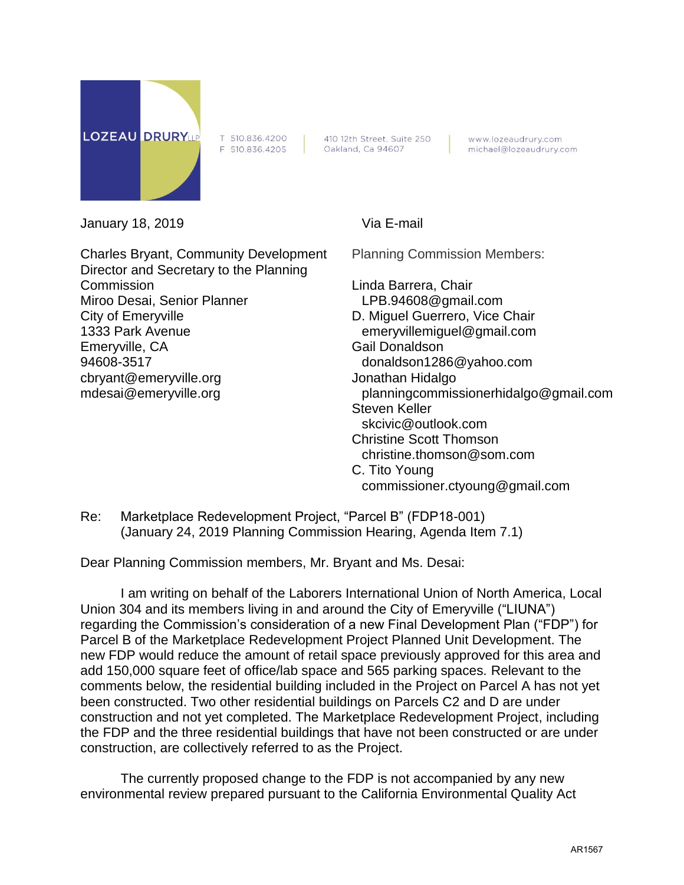

T 510.836.4200 F 510.836.4205

410 12th Street, Suite 250 Oakland, Ca 94607

www.lozeaudrury.com michael@lozeaudrury.com

January 18, 2019 Via E-mail

Charles Bryant, Community Development Director and Secretary to the Planning **Commission** Miroo Desai, Senior Planner City of Emeryville 1333 Park Avenue Emeryville, CA 94608-3517 cbryant@emeryville.org mdesai@emeryville.org

Planning Commission Members:

Linda Barrera, Chair LPB.94608@gmail.com D. Miguel Guerrero, Vice Chair emeryvillemiguel@gmail.com Gail Donaldson donaldson1286@yahoo.com Jonathan Hidalgo planningcommissionerhidalgo@gmail.com Steven Keller skcivic@outlook.com Christine Scott Thomson christine.thomson@som.com C. Tito Young commissioner.ctyoung@gmail.com

Re: Marketplace Redevelopment Project, "Parcel B" (FDP18-001) (January 24, 2019 Planning Commission Hearing, Agenda Item 7.1)

Dear Planning Commission members, Mr. Bryant and Ms. Desai:

I am writing on behalf of the Laborers International Union of North America, Local Union 304 and its members living in and around the City of Emeryville ("LIUNA") regarding the Commission's consideration of a new Final Development Plan ("FDP") for Parcel B of the Marketplace Redevelopment Project Planned Unit Development. The new FDP would reduce the amount of retail space previously approved for this area and add 150,000 square feet of office/lab space and 565 parking spaces. Relevant to the comments below, the residential building included in the Project on Parcel A has not yet been constructed. Two other residential buildings on Parcels C2 and D are under construction and not yet completed. The Marketplace Redevelopment Project, including the FDP and the three residential buildings that have not been constructed or are under construction, are collectively referred to as the Project.

The currently proposed change to the FDP is not accompanied by any new environmental review prepared pursuant to the California Environmental Quality Act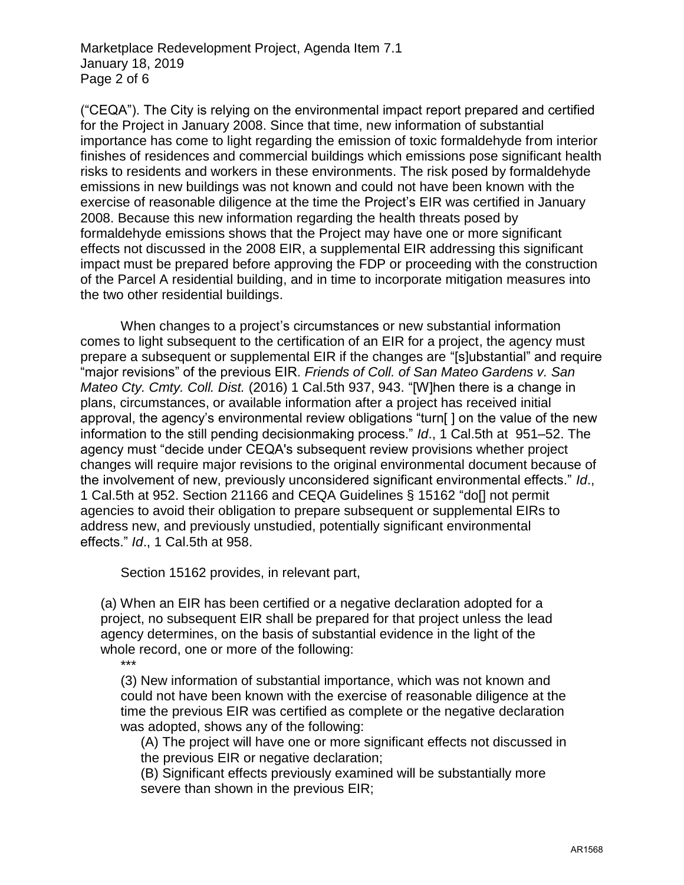Marketplace Redevelopment Project, Agenda Item 7.1 January 18, 2019 Page 2 of 6

("CEQA"). The City is relying on the environmental impact report prepared and certified for the Project in January 2008. Since that time, new information of substantial importance has come to light regarding the emission of toxic formaldehyde from interior finishes of residences and commercial buildings which emissions pose significant health risks to residents and workers in these environments. The risk posed by formaldehyde emissions in new buildings was not known and could not have been known with the exercise of reasonable diligence at the time the Project's EIR was certified in January 2008. Because this new information regarding the health threats posed by formaldehyde emissions shows that the Project may have one or more significant effects not discussed in the 2008 EIR, a supplemental EIR addressing this significant impact must be prepared before approving the FDP or proceeding with the construction of the Parcel A residential building, and in time to incorporate mitigation measures into the two other residential buildings.

When changes to a project's circumstances or new substantial information comes to light subsequent to the certification of an EIR for a project, the agency must prepare a subsequent or supplemental EIR if the changes are "[s]ubstantial" and require "major revisions" of the previous EIR. *Friends of Coll. of San Mateo Gardens v. San Mateo Cty. Cmty. Coll. Dist.* (2016) 1 Cal.5th 937, 943. "[W]hen there is a change in plans, circumstances, or available information after a project has received initial approval, the agency's environmental review obligations "turn[ ] on the value of the new information to the still pending decisionmaking process." *Id*., 1 Cal.5th at 951–52. The agency must "decide under CEQA's subsequent review provisions whether project changes will require major revisions to the original environmental document because of the involvement of new, previously unconsidered significant environmental effects." *Id*., 1 Cal.5th at 952. Section 21166 and CEQA Guidelines § 15162 "do[] not permit agencies to avoid their obligation to prepare subsequent or supplemental EIRs to address new, and previously unstudied, potentially significant environmental effects." *Id*., 1 Cal.5th at 958.

Section 15162 provides, in relevant part,

(a) When an EIR has been certified or a negative declaration adopted for a project, no subsequent EIR shall be prepared for that project unless the lead agency determines, on the basis of substantial evidence in the light of the whole record, one or more of the following:

\*\*\*

(3) New information of substantial importance, which was not known and could not have been known with the exercise of reasonable diligence at the time the previous EIR was certified as complete or the negative declaration was adopted, shows any of the following:

(A) The project will have one or more significant effects not discussed in the previous EIR or negative declaration;

(B) Significant effects previously examined will be substantially more severe than shown in the previous EIR;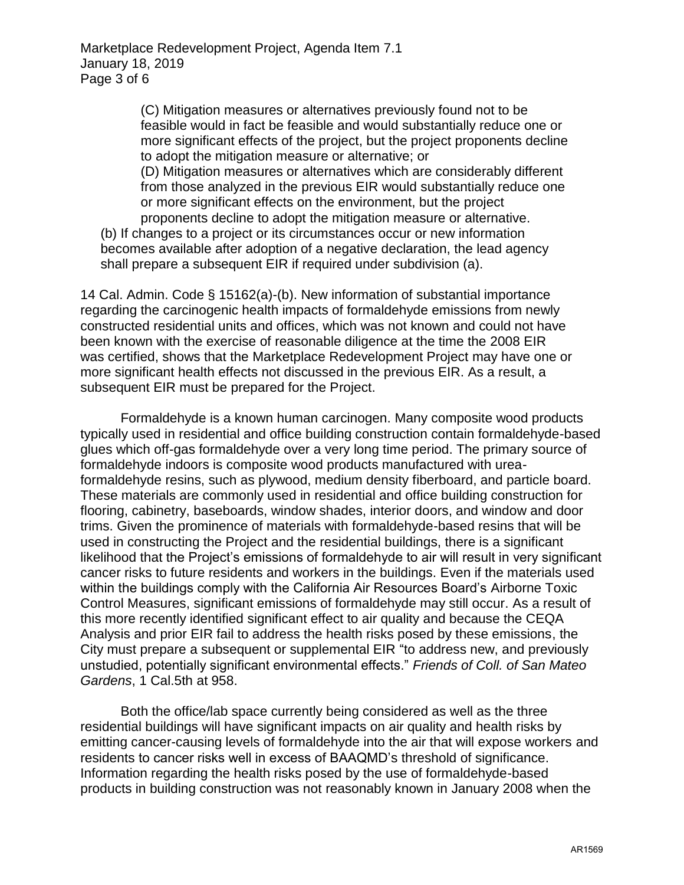Marketplace Redevelopment Project, Agenda Item 7.1 January 18, 2019 Page 3 of 6

> (C) Mitigation measures or alternatives previously found not to be feasible would in fact be feasible and would substantially reduce one or more significant effects of the project, but the project proponents decline to adopt the mitigation measure or alternative; or

> (D) Mitigation measures or alternatives which are considerably different from those analyzed in the previous EIR would substantially reduce one or more significant effects on the environment, but the project proponents decline to adopt the mitigation measure or alternative.

(b) If changes to a project or its circumstances occur or new information becomes available after adoption of a negative declaration, the lead agency shall prepare a subsequent EIR if required under subdivision (a).

14 Cal. Admin. Code § 15162(a)-(b). New information of substantial importance regarding the carcinogenic health impacts of formaldehyde emissions from newly constructed residential units and offices, which was not known and could not have been known with the exercise of reasonable diligence at the time the 2008 EIR was certified, shows that the Marketplace Redevelopment Project may have one or more significant health effects not discussed in the previous EIR. As a result, a subsequent EIR must be prepared for the Project.

Formaldehyde is a known human carcinogen. Many composite wood products typically used in residential and office building construction contain formaldehyde-based glues which off-gas formaldehyde over a very long time period. The primary source of formaldehyde indoors is composite wood products manufactured with ureaformaldehyde resins, such as plywood, medium density fiberboard, and particle board. These materials are commonly used in residential and office building construction for flooring, cabinetry, baseboards, window shades, interior doors, and window and door trims. Given the prominence of materials with formaldehyde-based resins that will be used in constructing the Project and the residential buildings, there is a significant likelihood that the Project's emissions of formaldehyde to air will result in very significant cancer risks to future residents and workers in the buildings. Even if the materials used within the buildings comply with the California Air Resources Board's Airborne Toxic Control Measures, significant emissions of formaldehyde may still occur. As a result of this more recently identified significant effect to air quality and because the CEQA Analysis and prior EIR fail to address the health risks posed by these emissions, the City must prepare a subsequent or supplemental EIR "to address new, and previously unstudied, potentially significant environmental effects." *Friends of Coll. of San Mateo Gardens*, 1 Cal.5th at 958.

Both the office/lab space currently being considered as well as the three residential buildings will have significant impacts on air quality and health risks by emitting cancer-causing levels of formaldehyde into the air that will expose workers and residents to cancer risks well in excess of BAAQMD's threshold of significance. Information regarding the health risks posed by the use of formaldehyde-based products in building construction was not reasonably known in January 2008 when the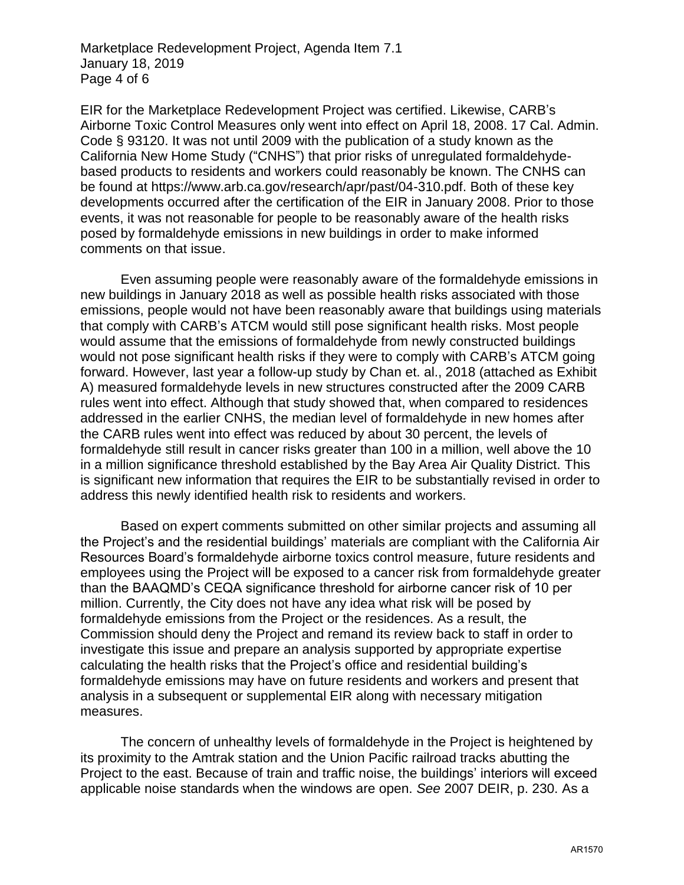Marketplace Redevelopment Project, Agenda Item 7.1 January 18, 2019 Page 4 of 6

EIR for the Marketplace Redevelopment Project was certified. Likewise, CARB's Airborne Toxic Control Measures only went into effect on April 18, 2008. 17 Cal. Admin. Code § 93120. It was not until 2009 with the publication of a study known as the California New Home Study ("CNHS") that prior risks of unregulated formaldehydebased products to residents and workers could reasonably be known. The CNHS can be found at https://www.arb.ca.gov/research/apr/past/04-310.pdf. Both of these key developments occurred after the certification of the EIR in January 2008. Prior to those events, it was not reasonable for people to be reasonably aware of the health risks posed by formaldehyde emissions in new buildings in order to make informed comments on that issue.

Even assuming people were reasonably aware of the formaldehyde emissions in new buildings in January 2018 as well as possible health risks associated with those emissions, people would not have been reasonably aware that buildings using materials that comply with CARB's ATCM would still pose significant health risks. Most people would assume that the emissions of formaldehyde from newly constructed buildings would not pose significant health risks if they were to comply with CARB's ATCM going forward. However, last year a follow-up study by Chan et. al., 2018 (attached as Exhibit A) measured formaldehyde levels in new structures constructed after the 2009 CARB rules went into effect. Although that study showed that, when compared to residences addressed in the earlier CNHS, the median level of formaldehyde in new homes after the CARB rules went into effect was reduced by about 30 percent, the levels of formaldehyde still result in cancer risks greater than 100 in a million, well above the 10 in a million significance threshold established by the Bay Area Air Quality District. This is significant new information that requires the EIR to be substantially revised in order to address this newly identified health risk to residents and workers.

Based on expert comments submitted on other similar projects and assuming all the Project's and the residential buildings' materials are compliant with the California Air Resources Board's formaldehyde airborne toxics control measure, future residents and employees using the Project will be exposed to a cancer risk from formaldehyde greater than the BAAQMD's CEQA significance threshold for airborne cancer risk of 10 per million. Currently, the City does not have any idea what risk will be posed by formaldehyde emissions from the Project or the residences. As a result, the Commission should deny the Project and remand its review back to staff in order to investigate this issue and prepare an analysis supported by appropriate expertise calculating the health risks that the Project's office and residential building's formaldehyde emissions may have on future residents and workers and present that analysis in a subsequent or supplemental EIR along with necessary mitigation measures.

The concern of unhealthy levels of formaldehyde in the Project is heightened by its proximity to the Amtrak station and the Union Pacific railroad tracks abutting the Project to the east. Because of train and traffic noise, the buildings' interiors will exceed applicable noise standards when the windows are open. *See* 2007 DEIR, p. 230. As a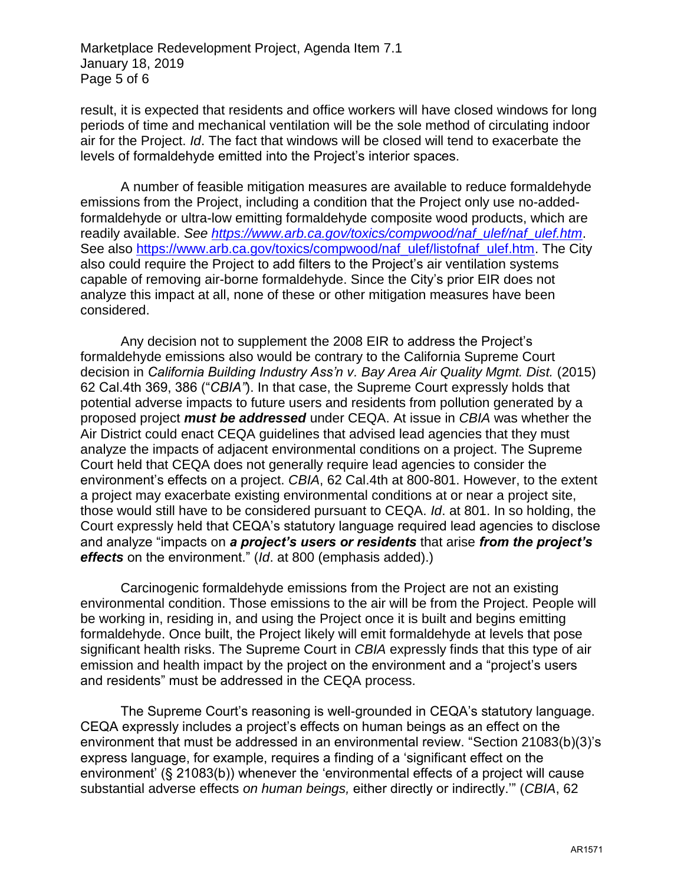Marketplace Redevelopment Project, Agenda Item 7.1 January 18, 2019 Page 5 of 6

result, it is expected that residents and office workers will have closed windows for long periods of time and mechanical ventilation will be the sole method of circulating indoor air for the Project. *Id*. The fact that windows will be closed will tend to exacerbate the levels of formaldehyde emitted into the Project's interior spaces.

A number of feasible mitigation measures are available to reduce formaldehyde emissions from the Project, including a condition that the Project only use no-addedformaldehyde or ultra-low emitting formaldehyde composite wood products, which are readily available. *See [https://www.arb.ca.gov/toxics/compwood/naf\\_ulef/naf\\_ulef.htm](https://www.arb.ca.gov/toxics/compwood/naf_ulef/naf_ulef.htm)*. See also [https://www.arb.ca.gov/toxics/compwood/naf\\_ulef/listofnaf\\_ulef.htm.](https://www.arb.ca.gov/toxics/compwood/naf_ulef/listofnaf_ulef.htm) The City also could require the Project to add filters to the Project's air ventilation systems capable of removing air-borne formaldehyde. Since the City's prior EIR does not analyze this impact at all, none of these or other mitigation measures have been considered.

Any decision not to supplement the 2008 EIR to address the Project's formaldehyde emissions also would be contrary to the California Supreme Court decision in *California Building Industry Ass'n v. Bay Area Air Quality Mgmt. Dist.* (2015) 62 Cal.4th 369, 386 ("*CBIA"*). In that case, the Supreme Court expressly holds that potential adverse impacts to future users and residents from pollution generated by a proposed project *must be addressed* under CEQA. At issue in *CBIA* was whether the Air District could enact CEQA guidelines that advised lead agencies that they must analyze the impacts of adjacent environmental conditions on a project. The Supreme Court held that CEQA does not generally require lead agencies to consider the environment's effects on a project. *CBIA*, 62 Cal.4th at 800-801. However, to the extent a project may exacerbate existing environmental conditions at or near a project site, those would still have to be considered pursuant to CEQA. *Id*. at 801. In so holding, the Court expressly held that CEQA's statutory language required lead agencies to disclose and analyze "impacts on *a project's users or residents* that arise *from the project's effects* on the environment." (*Id*. at 800 (emphasis added).)

Carcinogenic formaldehyde emissions from the Project are not an existing environmental condition. Those emissions to the air will be from the Project. People will be working in, residing in, and using the Project once it is built and begins emitting formaldehyde. Once built, the Project likely will emit formaldehyde at levels that pose significant health risks. The Supreme Court in *CBIA* expressly finds that this type of air emission and health impact by the project on the environment and a "project's users and residents" must be addressed in the CEQA process.

The Supreme Court's reasoning is well-grounded in CEQA's statutory language. CEQA expressly includes a project's effects on human beings as an effect on the environment that must be addressed in an environmental review. "Section 21083(b)(3)'s express language, for example, requires a finding of a 'significant effect on the environment' (§ 21083(b)) whenever the 'environmental effects of a project will cause substantial adverse effects *on human beings,* either directly or indirectly.'" (*CBIA*, 62